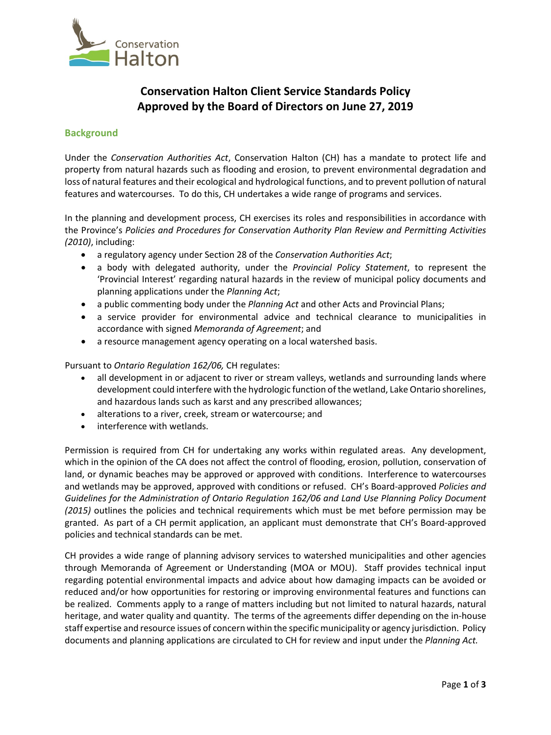

## **Conservation Halton Client Service Standards Policy Approved by the Board of Directors on June 27, 2019**

## **Background**

Under the *Conservation Authorities Act*, Conservation Halton (CH) has a mandate to protect life and property from natural hazards such as flooding and erosion, to prevent environmental degradation and loss of natural features and their ecological and hydrological functions, and to prevent pollution of natural features and watercourses. To do this, CH undertakes a wide range of programs and services.

In the planning and development process, CH exercises its roles and responsibilities in accordance with the Province's *Policies and Procedures for Conservation Authority Plan Review and Permitting Activities (2010)*, including:

- a regulatory agency under Section 28 of the *Conservation Authorities Act*;
- a body with delegated authority, under the *Provincial Policy Statement*, to represent the 'Provincial Interest' regarding natural hazards in the review of municipal policy documents and planning applications under the *Planning Act*;
- a public commenting body under the *Planning Act* and other Acts and Provincial Plans;
- a service provider for environmental advice and technical clearance to municipalities in accordance with signed *Memoranda of Agreement*; and
- a resource management agency operating on a local watershed basis.

Pursuant to *Ontario Regulation 162/06,* CH regulates:

- all development in or adjacent to river or stream valleys, wetlands and surrounding lands where development could interfere with the hydrologic function of the wetland, Lake Ontario shorelines, and hazardous lands such as karst and any prescribed allowances;
- alterations to a river, creek, stream or watercourse; and
- interference with wetlands.

Permission is required from CH for undertaking any works within regulated areas. Any development, which in the opinion of the CA does not affect the control of flooding, erosion, pollution, conservation of land, or dynamic beaches may be approved or approved with conditions. Interference to watercourses and wetlands may be approved, approved with conditions or refused. CH's Board-approved *Policies and Guidelines for the Administration of Ontario Regulation 162/06 and Land Use Planning Policy Document (2015)* outlines the policies and technical requirements which must be met before permission may be granted. As part of a CH permit application, an applicant must demonstrate that CH's Board-approved policies and technical standards can be met.

CH provides a wide range of planning advisory services to watershed municipalities and other agencies through Memoranda of Agreement or Understanding (MOA or MOU). Staff provides technical input regarding potential environmental impacts and advice about how damaging impacts can be avoided or reduced and/or how opportunities for restoring or improving environmental features and functions can be realized. Comments apply to a range of matters including but not limited to natural hazards, natural heritage, and water quality and quantity. The terms of the agreements differ depending on the in-house staff expertise and resource issues of concern within the specific municipality or agency jurisdiction. Policy documents and planning applications are circulated to CH for review and input under the *Planning Act.*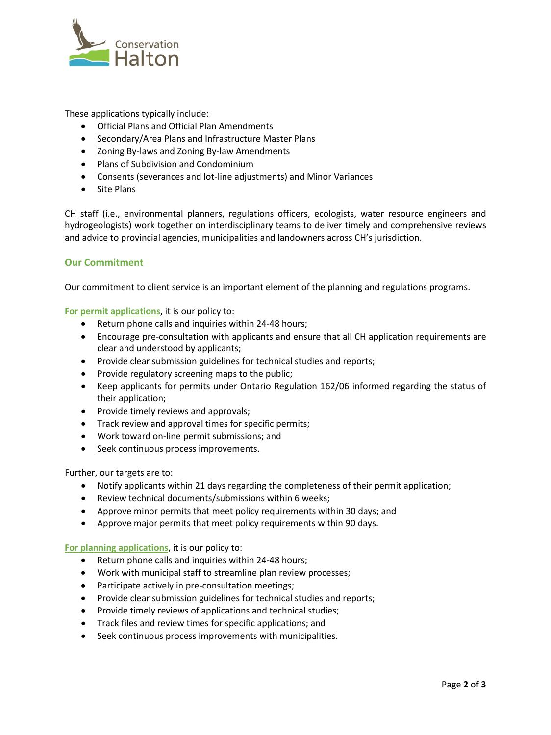

These applications typically include:

- Official Plans and Official Plan Amendments
- Secondary/Area Plans and Infrastructure Master Plans
- Zoning By-laws and Zoning By-law Amendments
- Plans of Subdivision and Condominium
- Consents (severances and lot-line adjustments) and Minor Variances
- Site Plans

CH staff (i.e., environmental planners, regulations officers, ecologists, water resource engineers and hydrogeologists) work together on interdisciplinary teams to deliver timely and comprehensive reviews and advice to provincial agencies, municipalities and landowners across CH's jurisdiction.

## **Our Commitment**

Our commitment to client service is an important element of the planning and regulations programs.

**For permit applications**, it is our policy to:

- Return phone calls and inquiries within 24-48 hours;
- Encourage pre-consultation with applicants and ensure that all CH application requirements are clear and understood by applicants;
- Provide clear submission guidelines for technical studies and reports;
- Provide regulatory screening maps to the public;
- Keep applicants for permits under Ontario Regulation 162/06 informed regarding the status of their application;
- Provide timely reviews and approvals;
- Track review and approval times for specific permits;
- Work toward on-line permit submissions; and
- Seek continuous process improvements.

Further, our targets are to:

- Notify applicants within 21 days regarding the completeness of their permit application;
- Review technical documents/submissions within 6 weeks;
- Approve minor permits that meet policy requirements within 30 days; and
- Approve major permits that meet policy requirements within 90 days.

**For planning applications**, it is our policy to:

- Return phone calls and inquiries within 24-48 hours;
- Work with municipal staff to streamline plan review processes;
- Participate actively in pre-consultation meetings;
- Provide clear submission guidelines for technical studies and reports;
- Provide timely reviews of applications and technical studies;
- Track files and review times for specific applications; and
- Seek continuous process improvements with municipalities.